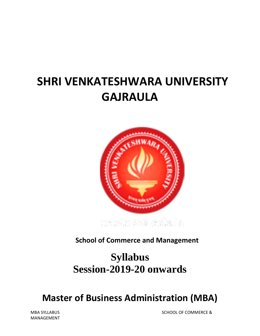# **SHRI VENKATESHWARA UNIVERSITY GAJRAULA**



**School of Commerce and Management**

# **Syllabus Session-2019-20 onwards**

# **Master of Business Administration (MBA)**

MANAGEMENT

MBA SYLLABUS SCHOOL OF COMMERCE &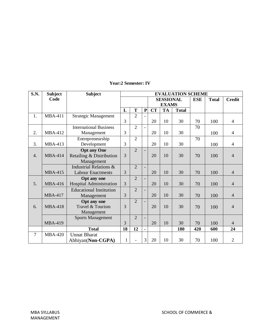| <b>S.N.</b> | <b>Subject</b> | <b>Subject</b>                    | <b>EVALUATION SCHEME</b> |                |           |                  |           |              |            |              |                |
|-------------|----------------|-----------------------------------|--------------------------|----------------|-----------|------------------|-----------|--------------|------------|--------------|----------------|
|             | Code           |                                   |                          |                |           | <b>SESSIONAL</b> |           |              | <b>ESE</b> | <b>Total</b> | <b>Credit</b>  |
|             |                |                                   |                          |                |           | <b>EXAMS</b>     |           |              |            |              |                |
|             |                |                                   | L                        | T              | ${\bf P}$ | <b>CT</b>        | <b>TA</b> | <b>Total</b> |            |              |                |
| 1.          | <b>MBA-411</b> | <b>Strategic Management</b>       |                          | $\overline{2}$ |           |                  |           |              |            |              |                |
|             |                |                                   | 3                        |                |           | 20               | 10        | 30           | 70         | 100          | $\overline{4}$ |
|             |                | <b>International Business</b>     |                          | $\overline{2}$ |           |                  |           |              | 70         |              |                |
| 2.          | <b>MBA-412</b> | Management                        | 3                        |                |           | 20               | 10        | 30           |            | 100          | $\overline{4}$ |
|             |                | Entrepreneurship                  |                          | $\overline{2}$ |           |                  |           |              | 70         |              |                |
| 3.          | <b>MBA-413</b> | Development                       | 3                        |                |           | 20               | 10        | 30           |            | 100          | $\overline{4}$ |
|             |                | <b>Opt any One</b>                |                          | $\overline{2}$ |           |                  |           |              |            |              |                |
| 4.          | <b>MBA-414</b> | Retailing & Distribution          | $\overline{3}$           |                |           | 20               | 10        | 30           | 70         | 100          | $\overline{4}$ |
|             |                | Management                        |                          |                |           |                  |           |              |            |              |                |
|             |                | <b>Industrial Relations &amp;</b> |                          | $\overline{2}$ |           |                  |           |              |            |              |                |
|             | <b>MBA-415</b> | <b>Labour Enactments</b>          | 3                        |                |           | 20               | 10        | 30           | 70         | 100          | $\overline{4}$ |
|             |                | <b>Opt any one</b>                |                          | $\overline{2}$ |           |                  |           |              |            |              |                |
| 5.          | <b>MBA-416</b> | <b>Hospital Administration</b>    | 3                        |                |           | 20               | 10        | 30           | 70         | 100          | $\overline{4}$ |
|             |                | <b>Educational Institution</b>    |                          | $\overline{2}$ |           |                  |           |              |            |              |                |
|             | <b>MBA-417</b> | Management                        | 3                        |                |           | 20               | 10        | 30           | 70         | 100          | $\overline{4}$ |
|             |                | Opt any one                       |                          | $\overline{2}$ |           |                  |           |              |            |              |                |
| 6.          | <b>MBA-418</b> | Travel & Tourism                  | 3                        |                |           | 20               | 10        | 30           | 70         | 100          | $\overline{4}$ |
|             |                | Management                        |                          |                |           |                  |           |              |            |              |                |
|             |                | <b>Sports Management</b>          |                          | $\overline{2}$ |           |                  |           |              |            |              |                |
|             | <b>MBA-419</b> |                                   | 3                        |                |           | 20               | 10        | 30           | 70         | 100          | $\overline{4}$ |
|             |                | <b>Total</b>                      | 18                       | 12             |           |                  |           | 180          | 420        | 600          | 24             |
| $\tau$      | <b>MBA-420</b> | <b>Unnat Bharat</b>               |                          |                |           |                  |           |              |            |              |                |
|             |                | Abhiyan(Non-CGPA)                 | $\mathbf{1}$             | L,             | 3         | 20               | 10        | 30           | 70         | 100          | $\overline{2}$ |

# **Year:2 Semester: IV**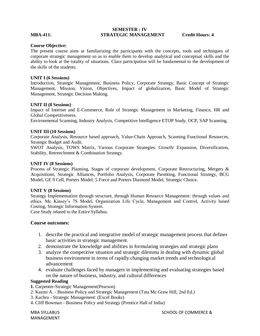# **SEMESTER : IV MBA-411: STRATEGIC MANAGEMENT Credit Hours: 4**

#### **Course Objective:**

The present course aims at familiarizing the participants with the concepts, tools and techniques of corporate strategic management so as to enable them to develop analytical and conceptual skills and the ability to look at the totality of situations. Class participation will be fundamental to the development of the skills of the students.

# **UNIT I (6 Sessions)**

Introduction, Strategic Management, Business Policy, Corporate Strategy, Basic Concept of Strategic Management, Mission, Vision, Objectives, Impact of globalization, Basic Model of Strategic Management, Strategic Decision Making.

# **UNIT II (8 Sessions)**

Impact of Internet and E-Commerce, Role of Strategic Management in Marketing, Finance, HR and Global Competitiveness.

Environmental Scanning, Industry Analysis, Competitive Intelligence ETOP Study, OCP, SAP Scanning,

# **UNIT III (10 Sessions)**

Corporate Analysis, Resource based approach, Value-Chain Approach, Scanning Functional Resources, Strategic Budget and Audit.

SWOT Analysis, TOWS Matrix, Various Corporate Strategies: Growth/ Expansion, Diversification, Stability, Retrenchment & Combination Strategy.

# **UNIT IV (8 Sessions)**

Process of Strategic Planning, Stages of corporate development, Corporate Restructuring, Mergers & Acquisitions, Strategic Alliances, Portfolio Analysis, Corporate Parenting, Functional Strategy, BCG Model, GE 9 Cell, Porters Model: 5 Force and Porters Diamond Model, Strategic Choice.

#### **UNIT V (8 Sessions)**

Strategy Implementation through structure, through Human Resource Management: through values and ethics. Mc Kinsey's 7S Model, Organization Life Cycle, Management and Control, Activity based Costing, Strategic Information System.

Case Study related to the Entire Syllabus.

# **Course outcomes:**

- 1. describe the practical and integrative model of strategic management process that defines basic activities in strategic management.
- 2. demonstrate the knowledge and abilities in formulating strategies and strategic plans
- 3. analyze the competitive situation and strategic dilemma in dealing with dynamic global business environment in terms of rapidly changing market trends and technological advancement
- 4. evaluate challenges faced by managers in implementing and evaluating strategies based on the nature of business, industry, and cultural differences

#### **Suggested Reading**

**1.** Carpenter-Strategic Management(Pearson)

- 2. Kazmi A. Business Policy and Strategic Management (Tata Mc Graw Hill, 2nd Ed.)
- 3. Kachru Strategic Management: (Excel Books)
- 4. Cliff Bowman Business Policy and Strategy (Prentice Hall of India)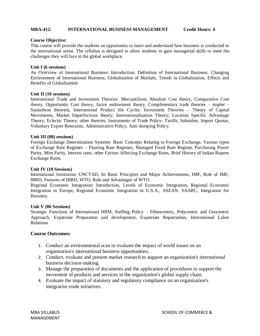# **MBA-412: INTERNATIONAL BUSINESS MANAGEMENT Credit Hours: 4**

## **Course Objective:**

This course will provide the students an opportunity to learn and understand how business is conducted in the international arena. The syllabus is designed to allow students to gain managerial skills to meet the challenges they will face in the global workplace.

# **Unit I (6 sessions)**

An Overview of International Business: Introduction, Definition of International Business, Changing Environment of International Business, Globalization of Markets, Trends in Globalization, Effects and Benefits of Globalization.

# **Unit II (10 sessions)**

International Trade and Investment Theories: Mercantilism; Absolute Cost theory, Comparative Cost theory, Opportunity Cost theory, factor endowment theory, Complimentary trade theories – stopler – Samuelson theorem, International Product life Cycles. Investment Theories – Theory of Capital Movements, Market Imperfections theory; Internationalisation Theory; Location Specific Advantage Theory; Eclectic Theory; other theories, Instruments of Trade Policy- Tariffs, Subsidies, Import Quotas, Voluntary Export Restraints, Administrative Policy, Anti-dumping Policy.

# **Unit III (08) sessions)**

Foreign Exchange Determination Systems: Basic Concepts Relating to Foreign Exchange, Various types of Exchange Rate Regimes – Floating Rate Regimes, Managed Fixed Rate Regime, Purchasing Power Parity, Mint Parity, Interest rates, other Factors Affecting Exchange Rates, Brief History of Indian Rupees Exchange Rates.

#### **Unit IV (10 Sessions)**

International Institution: UNCTAD, Its Basic Principles and Major Achievements, IMF, Role of IMF, IBRD, Features of IBRD, WTO, Role and Advantages of WTO.

Regional Economic Integration: Introduction, Levels of Economic Integration, Regional Economic Integration in Europe, Regional Economic Integration in U.S.A., ASEAN, SAARC, Integration for Business.

#### **Unit V (06 Sessions)**

Strategic Functions of International HRM, Staffing Policy – Ethnocentric, Polycentric and Geocentric Approach, Expatriate Preparation and development, Expatriate Repatriation, International Labor Relations

# **Course Outcomes:**

- 1. Conduct an environmental scan to evaluate the impact of world issues on an organization's international business opportunities.
- 2. Conduct, evaluate and present market research to support an organization's international business decision-making.
- 3. Manage the preparation of documents and the application of procedures to support the movement of products and services in the organization's global supply chain.
- 4. Evaluate the impact of statutory and regulatory compliance on an organization's integrative trade initiatives.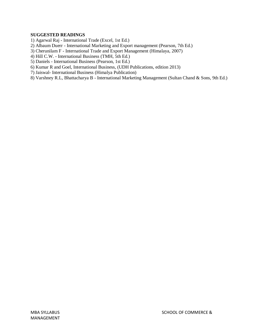# **SUGGESTED READINGS**

- 1) Agarwal Raj International Trade (Excel, 1st Ed.)
- 2) Albaum Duerr International Marketing and Export management (Pearson, 7th Ed.)
- 3) Cherunilam F International Trade and Export Management (Himalaya, 2007)
- 4) Hill C.W. International Business (TMH, 5th Ed.)
- 5) Daniels International Business (Pearson, 1st Ed.)
- 6) Kumar R and Goel, International Business, (UDH Publications, edition 2013)
- 7) Jaiswal- International Business (Himalya Publication)
- 8) Varshney R.L, Bhattacharya B International Marketing Management (Sultan Chand & Sons, 9th Ed.)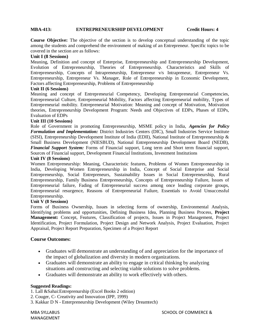# **MBA-413: ENTREPRENEURSHIP DEVELOPMENT Credit Hours: 4**

**Course Objective:** The objective of the section is to develop conceptual understanding of the topic among the students and comprehend the environment of making of an Entrepreneur. Specific topics to be covered in the section are as follows:

# **Unit I (8 Sessions)**

Meaning, Definition and concept of Enterprise, Entrepreneurship and Entrepreneurship Development, Evolution of Entrepreneurship, Theories of Entrepreneurship. Characteristics and Skills of Entrepreneurship, Concepts of Intrapreneurship, Entrepreneur v/s Intrapreneur, Entrepreneur Vs. Entrepreneurship, Entrepreneur Vs. Manager, Role of Entrepreneurship in Economic Development, Factors affecting Entrepreneurship, Problems of Entrepreneurship

# **Unit II (6 Sessions)**

Meaning and concept of Entrepreneurial Competency, Developing Entrepreneurial Competencies, Entrepreneurial Culture, Entrepreneurial Mobility, Factors affecting Entrepreneurial mobility, Types of Entrepreneurial mobility. Entrepreneurial Motivation: Meaning and concept of Motivation, Motivation theories, Entrepreneurship Development Program: Needs and Objectives of EDPs, Phases of EDPs, Evaluation of EDPs

# **Unit III (10 Sessions)**

Role of Government in promoting Entrepreneurship, MSME policy in India, *Agencies for Policy Formulation and Implementation:* District Industries Centers (DIC), Small Industries Service Institute (SISI), Entrepreneurship Development Institute of India (EDII), National Institute of Entrepreneurship & Small Business Development (NIESBUD), National Entrepreneurship Development Board (NEDB), *Financial Support System:* Forms of Financial support, Long term and Short term financial support, Sources of Financial support, Development Financial Institutions, Investment Institutions

# **Unit IV (8 Sessions)**

Women Entrepreneurship: Meaning, Characteristic features, Problems of Women Entrepreneurship in India, Developing Women Entrepreneurship in India, Concept of Social Enterprise and Social Entrepreneurship, Social Entrepreneurs, Sustainability Issues in Social Entrepreneurship, Rural Entrepreneurship, Family Business Entrepreneurship, Concepts of Entrepreneurship Failure, Issues of Entrepreneurial failure, Fading of Entrepreneurial success among once leading corporate groups, Entrepreneurial resurgence, Reasons of Entrepreneurial Failure, Essentials to Avoid Unsuccessful Entrepreneurship.

# **Unit V (8 Sessions)**

Forms of Business Ownership, Issues in selecting forms of ownership, Environmental Analysis, Identifying problems and opportunities, Defining Business Idea, Planning Business Process, **Project Management:** Concept, Features, Classification of projects, Issues in Project Management, Project Identification, Project Formulation, Project Design and Network Analysis, Project Evaluation, Project Appraisal, Project Report Preparation, Specimen of a Project Report

# **Course Outcomes:**

- Graduates will demonstrate an understanding of and appreciation for the importance of the impact of globalization and diversity in modern organizations.
- Graduates will demonstrate an ability to engage in critical thinking by analyzing situations and constructing and selecting viable solutions to solve problems.
- Graduates will demonstrate an ability to work effectively with others.

# **Suggested Readings:**

- 1. Lall &Sahai:Entreprenurship (Excel Books 2 edition)
- 2. Couger, C- Creativity and Innovation (IPP, 1999)
- 3. Kakkar D N Enterpreneurship Development (Wiley Dreamtech)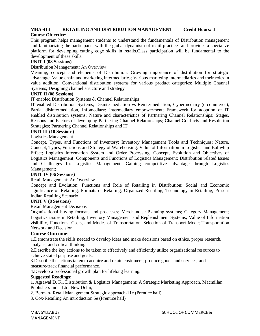# **MBA-414 RETAILING AND DISTRIBUTION MANAGEMENT Credit Hours: 4**

# **Course Objective:**

This program helps management students to understand the fundamentals of Distribution management and familiarizing the participants with the global dynamism of retail practices and provides a specialize platform for developing cutting edge skills in retails.Class participation will be fundamental to the development of these skills.

# **UNIT I (08 Sessions)**

Distribution Management: An Overview

Meaning, concept and elements of Distribution; Growing importance of distribution for strategic advantage; Value chain and marketing intermediaries; Various marketing intermediaries and their roles in value addition; Conventional distribution systems for various product categories; Multiple Channel Systems; Designing channel structure and strategy

# **UNIT II (08 Sessions)**

IT enabled Distribution Systems & Channel Relationships

IT enabled Distribution Systems; Disintermediation vs Reintermediation; Cybermediary (e-commerce), Partial disintermediation, Infomediary; Intermediary empowerment; Framework for adoption of IT enabled distribution systems; Nature and characteristics of Partnering Channel Relationships; Stages, Reasons and Factors of developing Partnering Channel Relationships; Channel Conflicts and Resolution Strategies; Partnering Channel Relationships and IT

# **UNITIII (10 Sessions)**

Logistics Management

Concept, Types, and Functions of Inventory; Inventory Management Tools and Techniques; Nature, Concept, Types, Functions and Strategy of Warehousing; Value of Information in Logistics and Bullwhip Effect; Logistics Information System and Order Processing, Concept, Evolution and Objectives of Logistics Management; Components and Functions of Logistics Management; Distribution related Issues and Challenges for Logistics Management; Gaining competitive advantage through Logistics Management;

# **UNIT IV (06 Sessions)**

Retail Management: An Overview

Concept and Evolution; Functions and Role of Retailing in Distribution; Social and Economic significance of Retailing; Formats of Retailing; Organized Retailing; Technology in Retailing; Present Indian Retailing Scenario

## **UNIT V (8 Sessions)**

Retail Management Decisions

Organizational buying formats and processes; Merchandise Planning systems; Category Management; Logistics issues in Retailing; Inventory Management and Replenishment Systems; Value of Information visibility, Functions, Costs, and Modes of Transportation, Selection of Transport Mode; Transportation Network and Decision

# **Course Outcome:**

1.Demonstrate the skills needed to develop ideas and make decisions based on ethics, proper research, analysis, and critical thinking.

2.Describe the key actions to be taken to effectively and efficiently utilize organizational resources to achieve stated purpose and goals.

3.Describe the actions taken to acquire and retain customers; produce goods and services; and measure/track financial performance.

4.Develop a professional growth plan for lifelong learning.

# **Suggested Readings:**

1. Agrawal D. K., Distribution & Logistics Management: A Strategic Marketing Approach, Macmillan Publishers India Ltd. New Delhi,

2. Berman- Retail Management Strategic approach-11e (Prentice hall)

3. Cox-Retailing An introduction 5e (Prentice hall)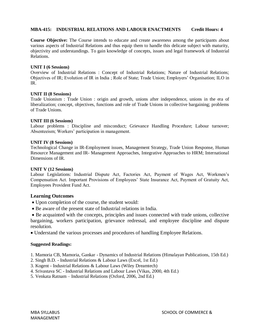# **MBA-415: INDUSTRIAL RELATIONS AND LABOUR ENACTMENTS Credit Hours: 4**

**Course Objective:** The Course intends to educate and create awareness among the participants about various aspects of Industrial Relations and thus equip them to handle this delicate subject with maturity, objectivity and understandings. To gain knowledge of concepts, issues and legal framework of Industrial Relations.

#### **UNIT I (6 Sessions)**

Overview of Industrial Relations : Concept of Industrial Relations; Nature of Industrial Relations; Objectives of IR; Evolution of IR in India ; Role of State; Trade Union; Employers' Organisation; ILO in IR.

# **UNIT II (8 Sessions)**

Trade Unionism : Trade Union : origin and growth, unions after independence, unions in the era of liberalization; concept, objectives, functions and role of Trade Unions in collective bargaining; problems of Trade Unions.

# **UNIT III (6 Sessions)**

Labour problems : Discipline and misconduct; Grievance Handling Procedure; Labour turnover; Absenteeism; Workers' participation in management.

# **UNIT IV (8 Sessions)**

Technological Change in IR-Employment issues, Management Strategy, Trade Union Response, Human Resource Management and IR- Management Approaches, Integrative Approaches to HRM; International Dimensions of IR.

#### **UNIT V (12 Sessions)**

Labour Legislations: Industrial Dispute Act, Factories Act, Payment of Wages Act, Workmen's Compensation Act. Important Provisions of Employees' State Insurance Act, Payment of Gratuity Act, Employees Provident Fund Act.

# **Learning Outcomes**

- Upon completion of the course, the student would:
- Be aware of the present state of Industrial relations in India.
- Be acquainted with the concepts, principles and issues connected with trade unions, collective bargaining, workers participation, grievance redressal, and employee discipline and dispute resolution.
- Understand the various processes and procedures of handling Employee Relations.

# **Suggested Readings:**

- 1. Mamoria CB, Mamoria, Gankar Dynamics of Industrial Relations (Himalayan Publications, 15th Ed.)
- 2. Singh B.D. Industrial Relations & Labour Laws (Excel, 1st Ed.)
- 3. Kogent Industrial Relations & Labour Laws (Wiley Dreamtech)
- 4. Srivastava SC Industrial Relations and Labour Laws (Vikas, 2000, 4th Ed.)
- 5. Venkata Ratnam Industrial Relations (Oxford, 2006, 2nd Ed.)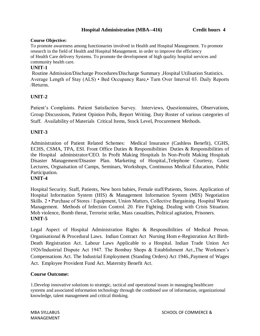# **Hospital Administration (MBA--416) Credit hours 4**

# **Course Objective:**

To promote awareness among functionaries involved in Health and Hospital Management. To promote research in the field of Health and Hospital Management. in order to improve the efficiency of Health Care delivery Systems. To promote the development of high quality hospital services and community health care.

# **UNIT-1**

Routine Admission/Discharge Procedures/Discharge Summary ,Hospital Utilisation Statistics. Average Length of Stay (ALS) • Bed Occupancy Rare,• Turn Over Interval 03. Daily Reports /Returns.

# **UNIT-2**

Patient's Complaints. Patient Satisfaction Survey. Interviews, Questionnaires, Observations, Group Discussions, Patient Opinion Polls, Report Writing. Duty Roster of various categories of Staff. Availability of Materials Critical Items, Stock Level, Procurement Methods.

# **UNIT-3**

Administration of Patient Related Schemes: Medical Insurance (Cashless Benefit), CGHS, ECHS, CSMA, TPA, ESI. Front Office Duties & Responsibilities Duties & Responsibilities of the Hospital administrator/CEO. In Profit Making Hospitals In Non-Profit Making Hospitals Disaster Management/Disaster Plan. Marketing of Hospital.,Telephone Courtesy, Guest Lectures, Orgnaisation of Camps, Seminars, Workshops, Continuous Medical Education, Public Participation.

# **UNIT-4**

Hospital Security. Staff, Patients, New born babies, Female staff/Patients, Stores. Application of Hospital Information System (HIS) & Management Information System (MIS) Negotiation Skills. 2 • Purchase of Stores / Equipment, Union Matters, Collective Bargaining. Hospital Waste Management. Methods of Infection Control. 20. Fire Fighting. Dealing with Crisis Situation. Mob violence, Bomb threat, Terrorist strike, Mass casualties, Political agitation, Prisoners. **UNIT-5**

Legal Aspect of Hospital Administration Rights & Responsibilities of Medical Person. Organisational & Procedural Laws. Indian Contract Act Nursing Hom e-Registration Act Birth-Death Registration Act. Labour Laws Applicable to a Hospital. Indian Trade Union Act 1926/Industrial Dispute Act 1947. The Bombay Shops & Establishment Act.,The Workmen's Compensations Act. The Industrial Employment (Standing Orders) Act 1946.,Payment of Wages Act. Employee Provident Fund Act. Maternity Benefit Act.

# **Course Outcome:**

1.Develop innovative solutions to strategic, tactical and operational issues in managing healthcare systems and associated information technology through the combined use of information, organizational knowledge, talent management and critical thinking.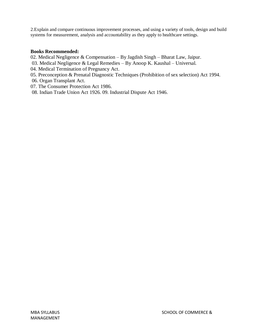2.Explain and compare continuous improvement processes, and using a variety of tools, design and build systems for measurement, analysis and accountability as they apply to healthcare settings.

# **Books Recommended:**

- 02. Medical Negligence & Compensation By Jagdish Singh Bharat Law, Jaipur.
- 03. Medical Negligence & Legal Remedies By Anoop K. Kaushal Universal.
- 04. Medical Termination of Pregnancy Act.
- 05. Preconception & Prenatal Diagnostic Techniques (Prohibition of sex selection) Act 1994.
- 06. Organ Transplant Act.
- 07. The Consumer Protection Act 1986.
- 08. Indian Trade Union Act 1926. 09. Industrial Dispute Act 1946.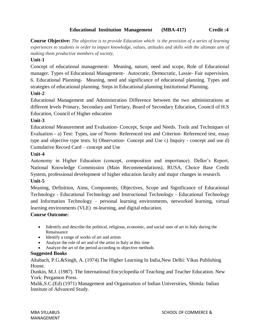# **Educational Institution Management (MBA-417) Credit :4**

**Course Objective:** *The objective is to provide Education which is the provision of a series of learning experiences to students in order to impart knowledge, values, attitudes and skills with the ultimate aim of making them productive members of society,*

# **Unit-1**

Concept of educational management- Meaning, nature, need and scope, Role of Educational manager. Types of Educational Management- Autocratic, Democratic, Lassie- Fair supervision. 6. Educational Planning- Meaning, need and significance of educational planning. Types and strategies of educational planning. Steps in Educational planning Institutional Planning.

# **Unit-2**

Educational Management and Administration Difference between the two administrations at different levels Primary, Secondary and Tertiary, Board of Secondary Education, Council of H.S Education, Council of Higher education

# **Unit-3**

Educational Measurement and Evaluation- Concept, Scope and Needs. Tools and Techniques of Evaluation - a) Test: Types, use of Norm- Referenced test and Criterion- Referenced test, essay type and objective type tests. b) Observation- Concept and Use c) Inquiry - concept and use d) Cumulative Record Card – concept and Use

# **Unit-4**

Autonomy in Higher Education (concept, composition and importance). Dellor's Report, National Knowledge Commission (Main Recommendations), RUSA, Choice Base Credit System, professional development of higher education faculty and major changes in research. **Unit-5**

Meaning, Definition, Aims, Components, Objectives, Scope and Significance of Educational Technology - Educational Technology and Instructional Technology - Educational Technology and Information Technology – personal learning environments, networked learning, virtual learning environments (VLE) m-learning, and digital education.

# **Course Outcome:**

- Iidentify and describe the political, religious, economic, and social uses of art in Italy during the Renaissance
- Identify a range of works of art and artists
- Analyze the role of art and of the artist in Italy at this time
- Analyze the art of the period according to objective methods

# **Suggested Books**

Altabach, P.G.&Singh, A. (1974).The Higher Learning In India,New Delhi: Vikas Publishing House.

Dunkin, M.J. (1987). The International Encyclopedia of Teaching and Teacher Education. New York: Pergamon Press.

Malik,S.C.(Ed) (1971) Management and Organisation of Indian Universities, Shimla: Indian Institute of Advanced Study.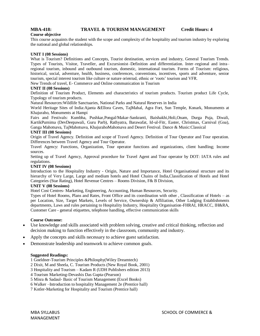# **MBA-418: TRAVEL & TOURISM MANAGEMENT Credit Hours: 4**

#### **Course objective**

This course acquaints the student with the scope and complexity of the hospitality and tourism industry by exploring the national and global relationships.

#### **UNIT I (08 Sessions)**

What is Tourism? Definitions and Concepts, Tourist destination, services and industry, General Tourism Trends. Types of Tourists, Visitor, Traveller, and Excursionist–Definition and differentiation. Inter–regional and intra– regional tourism, inbound and outbound tourism, domestic, international tourism. Forms of Tourism: religious, historical, social, adventure, health, business, conferences, conventions, incentives, sports and adventure, senior tourism, special interest tourism like culture or nature oriented, ethnic or 'roots' tourism and VFR.

New Trends of travel, E- Commerce and Online communication in Tourism

#### **UNIT II (08 Sessions)**

Definition of Tourism Product, Elements and characteristics of tourism products. Tourism product Life Cycle, Typology of tourism products.

Natural Resources:Wildlife Sanctuaries, National Parks and Natural Reserves in India

World Heritage Sites of India:Ajanta &Ellora Caves, TajMahal, Agra Fort, Sun Temple, Konark, Monuments at Khajuraho, Monuments at Hampi

Fairs and Festivals: Kumbha, Pushkar,Pongal/Makar-Sankranti, Baishakhi,Holi,Onam, Durga Puja, Diwali, KartikPurnima (DevDeepawali, Guru Parb), Rathyatra, Barawafat, Id-ul-Fitr, Easter, Christmas, Carnival (Goa), Ganga Mahotsava, TajMahotsava, KhajurahoMahotsava and Desert Festival. Dance & Music:Classical

#### **UNIT III (08 Sessions)**

Origin of Travel Agency. Definition and scope of Travel Agency. Definition of Tour Operator and Tour operation. Differences between Travel Agency and Tour Operator.

Travel Agency: Functions, Organization, Tour operator functions and organizations, client handling; Income sources.

Setting up of Travel Agency, Approval procedure for Travel Agent and Tour operator by DOT: IATA rules and regulations.

#### **UNIT IV (08 Sessions)**

Introduction to the Hospitality Industry - Origin, Nature and Importance, Hotel Organisational structure and its hierarchy of Very Large, Large and medium hotels and Hotel Chains of India,Classification of Hotels and Hotel Categories (Star Rating), Hotel Revenue Centres – Rooms Division, F& B Division,

#### **UNIT V (08 Sessions)**

Hotel Cost Centres- Marketing, Engineering, Accounting, Human Resources, Security.

Types of Hotel Rooms, Plans and Rates, Front Office and its coordination with other , Classification of Hotels – as per Location, Size, Target Markets, Levels of Service, Ownership & Affiliation, Other Lodging Establishments departments, Laws and rules pertaining to Hospitality Industry, Hospitality Organisation-FHRAI, HRACC, IH&RA, Customer Care - general etiquettes, telephone handling, effective communication skills

#### **Course Outcome:**

- Use knowledge and skills associated with problem solving, creative and critical thinking, reflection and decision making to function effectively in the classroom, community and industry.
- Apply the concepts and skills necessary to achieve guest satisfaction.
- Demonstrate leadership and teamwork to achieve common goals.

#### **Suggested Readings:**

1 Goeldner-Tourism Principles &Philosphy(Wiley Dreamtech)

- 2 Dixit, M and Sheela, C. Tourism Products (New Royal Book, 2001)
- 3 Hospitality and Tourism Kadam R (UDH Publishers edition 2013)
- 4 Tourism Marketing-Devashis Das Gupta-(Pearson)
- 5 Misra & Sadaul- Basic of Tourism Management (Excel Books)
- 6 Walker –Introduction to hospitality Management 2e (Prentice hall)
- 7 Kotler-Marketing for Hospitality and Tourism (Prentice hall)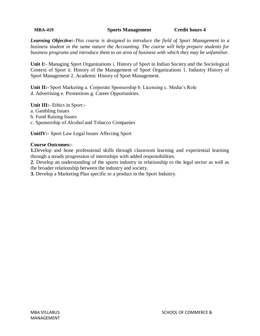**MBA-419 Sports Management Credit hours 4**

*Learning Objective:-This course is designed to introduce the field of Sport Management to a business student in the same nature the Accounting. The course will help prepare students for business programs and introduce them to an area of business with which they may be unfamiliar.*

**Unit I:-** Managing Sport Organizations i. History of Sport in Indian Society and the Sociological Context of Sport ii. History of the Management of Sport Organizations 1. Industry History of Sport Management 2. Academic History of Sport Management.

**Unit II:-** Sport Marketing a. Corporate Sponsorship b. Licensing c. Media's Role d. Advertising e. Promotions g. Career Opportunities.

**Unit III:-** Ethics in Sport: a. Gambling Issues b. Fund Raising Issues c. Sponsorship of Alcohol and Tobacco Companies

**UnitIV:-** Sport Law Legal Issues Affecting Sport

# **Course Outcomes:-**

**1.**Develop and hone professional skills through classroom learning and experiential learning through a steady progression of internships with added responsibilities.

**2**. Develop an understanding of the sports industry in relationship to the legal sector as well as the broader relationship between the industry and society.

**3.** Develop a Marketing Plan specific to a product in the Sport Industry.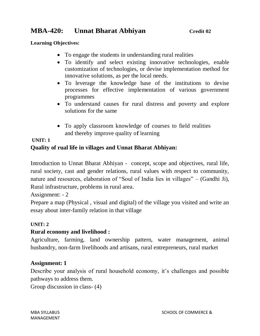# **MBA-420:** Unnat Bharat Abhiyan *Credit 02*

# **Learning Objectives:**

- To engage the students in understanding rural realities
- To identify and select existing innovative technologies, enable customization of technologies, or devise implementation method for innovative solutions, as per the local needs.
- To leverage the knowledge base of the institutions to devise processes for effective implementation of various government programmes
- To understand causes for rural distress and poverty and explore solutions for the same
- To apply classroom knowledge of courses to field realities and thereby improve quality of learning

# **UNIT: 1**

# **Quality of rual life in villages and Unnat Bharat Abhiyan:**

Introduction to Unnat Bharat Abhiyan - concept, scope and objectives, rural life, rural society, cast and gender relations, rural values with respect to community, nature and resources, elaboration of "Soul of India lies in villages" – (Gandhi Ji), Rural infrastructure, problems in rural area.

Assignment: - 2

Prepare a map (Physical , visual and digital) of the village you visited and write an essay about inter-family relation in that village

# **UNIT: 2**

# **Rural economy and livelihood :**

Agriculture, farming, land ownership pattern, water management, animal husbandry, non-farm livelihoods and artisans, rural entrepreneurs, rural market

# **Assignment: 1**

Describe your analysis of rural household economy, it's challenges and possible pathways to address them.

Group discussion in class- (4)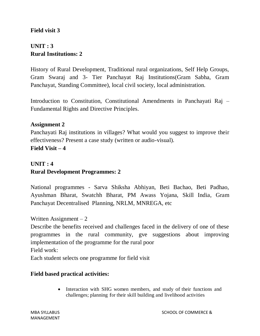# **Field visit 3**

# **UNIT : 3 Rural Institutions: 2**

History of Rural Development, Traditional rural organizations, Self Help Groups, Gram Swaraj and 3- Tier Panchayat Raj Institutions(Gram Sabha, Gram Panchayat, Standing Committee), local civil society, local administration.

Introduction to Constitution, Constitutional Amendments in Panchayati Raj – Fundamental Rights and Directive Principles.

# **Assignment 2**

Panchayati Raj institutions in villages? What would you suggest to improve their effectiveness? Present a case study (written or audio-visual). **Field Visit – 4**

# **UNIT : 4 Rural Development Programmes: 2**

National programmes - Sarva Shiksha Abhiyan, Beti Bachao, Beti Padhao, Ayushman Bharat, Swatchh Bharat, PM Awass Yojana, Skill India, Gram Panchayat Decentralised Planning, NRLM, MNREGA, etc

Written Assignment  $-2$ 

Describe the benefits received and challenges faced in the delivery of one of these programmes in the rural community, gve suggestions about improving implementation of the programme for the rural poor Field work:

Each student selects one programme for field visit

# **Field based practical activities:**

• Interaction with SHG women members, and study of their functions and challenges; planning for their skill building and livelihood activities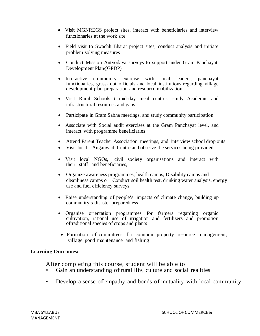- Visit MGNREGS project sites, interact with beneficiaries and interview functionaries at the work site
- Field visit to Swachh Bharat project sites, conduct analysis and initiate problem solving measures
- Conduct Mission Antyodaya surveys to support under Gram Panchayat Development Plan(GPDP)
- Interactive community exercise with local leaders, panchayat functionaries, grass-root officials and local institutions regarding village development plan preparation and resource mobilization
- Visit Rural Schools *I* mid-day meal centres, study Academic and infrastructural resources and gaps
- Participate in Gram Sabha meetings, and study community participation
- Associate with Social audit exercises at the Gram Panchayat level, and interact with programme beneficiaries
- Attend Parent Teacher Association meetings, and interview school drop outs
- Visit local Anganwadi Centre and observe the services being provided
- Visit local NGOs, civil society organisations and interact with their staff and beneficiaries, .
- Organize awareness programmes, health camps, Disability camps and cleanliness camps o Conduct soil health test, drinking water analysis, energy use and fuel efficiency surveys
- Raise understanding of people's impacts of climate change, building up community's disaster preparedness
- Organise orientation programmes for farmers regarding organic cultivation, rational use of irrigation and fertilizers and promotion oftraditional species of crops and plants
- Formation of committees for common property resource management, village pond maintenance and fishing

# **Learning Outcomes:**

.

After completing this course, student will be able to

- Gain an understanding of rural life, culture and social realities
- Develop a sense of empathy and bonds of mutuality with local community